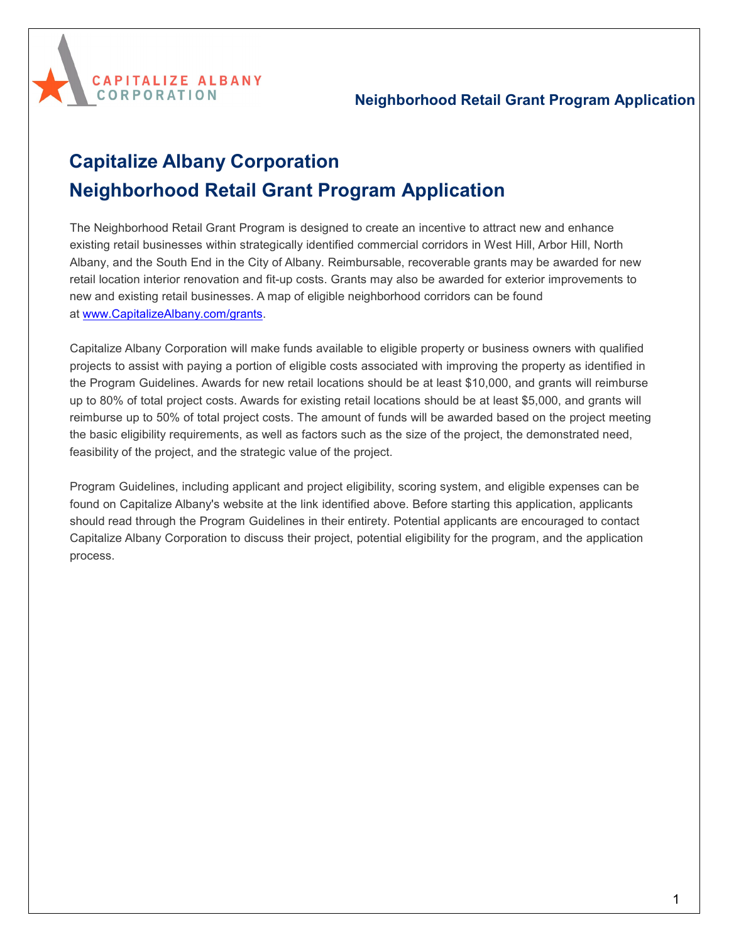

# **Capitalize Albany Corporation Neighborhood Retail Grant Program Application**

**CAPITALIZE ALBANY** 

**CORPORATION** 

The Neighborhood Retail Grant Program is designed to create an incentive to attract new and enhance existing retail businesses within strategically identified commercial corridors in West Hill, Arbor Hill, North Albany, and the South End in the City of Albany. Reimbursable, recoverable grants may be awarded for new retail location interior renovation and fit-up costs. Grants may also be awarded for exterior improvements to new and existing retail businesses. A map of eligible neighborhood corridors can be found at [www.CapitalizeAlbany.com/grants.](http://www.capitalizealbany.com/grants)

Capitalize Albany Corporation will make funds available to eligible property or business owners with qualified projects to assist with paying a portion of eligible costs associated with improving the property as identified in the Program Guidelines. Awards for new retail locations should be at least \$10,000, and grants will reimburse up to 80% of total project costs. Awards for existing retail locations should be at least \$5,000, and grants will reimburse up to 50% of total project costs. The amount of funds will be awarded based on the project meeting the basic eligibility requirements, as well as factors such as the size of the project, the demonstrated need, feasibility of the project, and the strategic value of the project.

Program Guidelines, including applicant and project eligibility, scoring system, and eligible expenses can be found on Capitalize Albany's website at the link identified above. Before starting this application, applicants should read through the Program Guidelines in their entirety. Potential applicants are encouraged to contact Capitalize Albany Corporation to discuss their project, potential eligibility for the program, and the application process.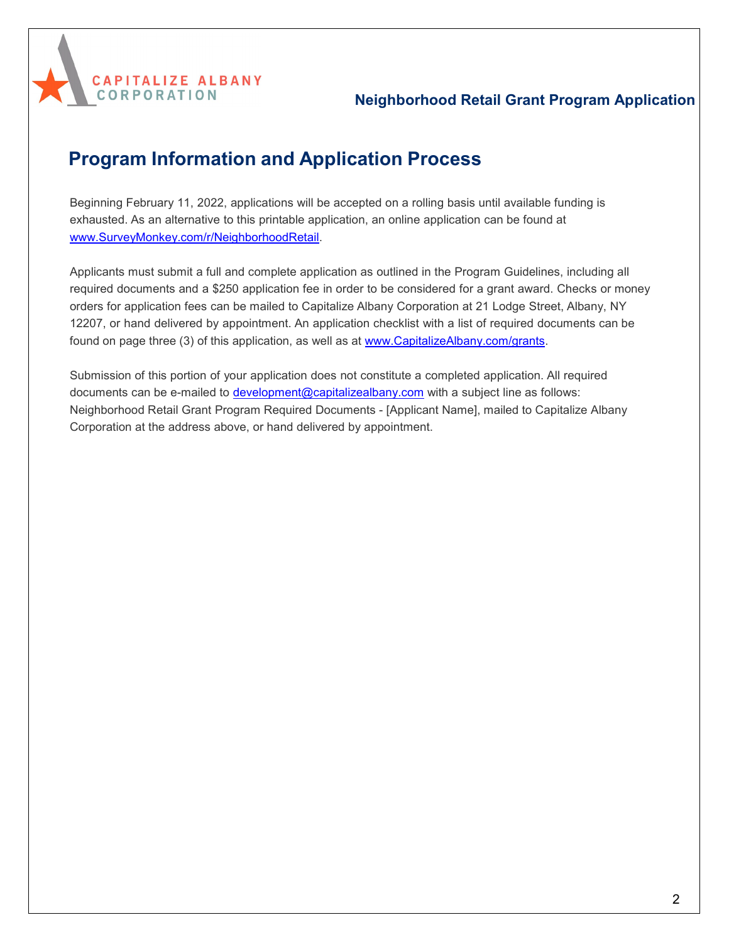

## **Program Information and Application Process**

Beginning February 11, 2022, applications will be accepted on a rolling basis until available funding is exhausted. As an alternative to this printable application, an online application can be found at [www.SurveyMonkey.com/r/NeighborhoodRetail.](http://www.surveymonkey.com/r/NeighborhoodRetail)

Applicants must submit a full and complete application as outlined in the Program Guidelines, including all required documents and a \$250 application fee in order to be considered for a grant award. Checks or money orders for application fees can be mailed to Capitalize Albany Corporation at 21 Lodge Street, Albany, NY 12207, or hand delivered by appointment. An application checklist with a list of required documents can be found on page three (3) of this application, as well as at [www.CapitalizeAlbany.com/grants.](http://www.capitalizealbany.com/grants)

Submission of this portion of your application does not constitute a completed application. All required documents can be e-mailed to [development@capitalizealbany.com](mailto:development@capitalizealbany.com) with a subject line as follows: Neighborhood Retail Grant Program Required Documents - [Applicant Name], mailed to Capitalize Albany Corporation at the address above, or hand delivered by appointment.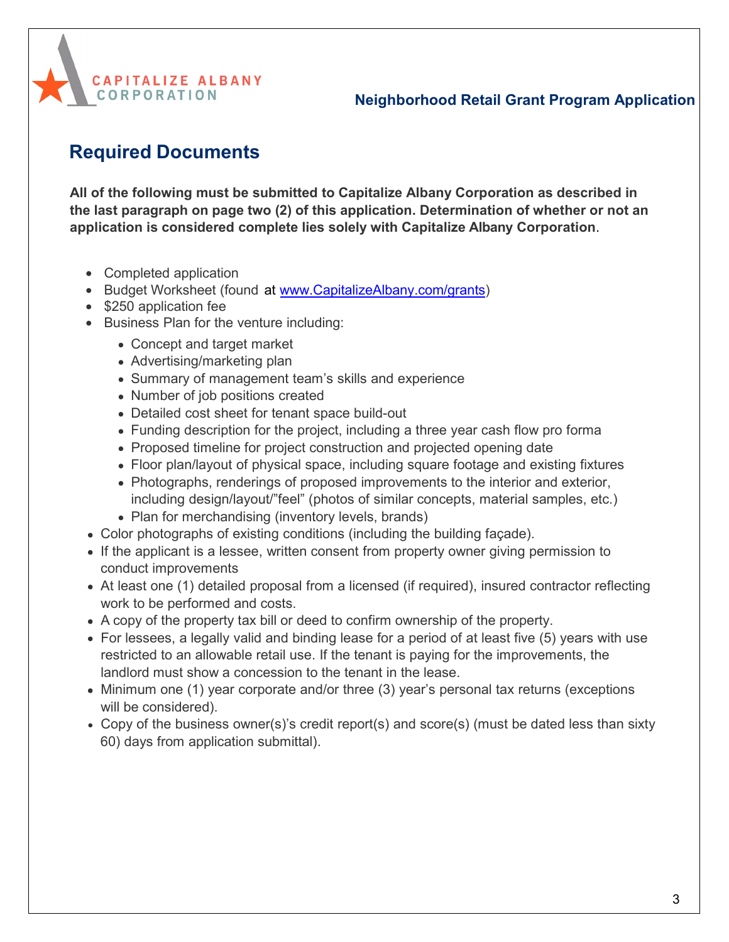

# **Required Documents**

**All of the following must be submitted to Capitalize Albany Corporation as described in the last paragraph on page two (2) of this application. Determination of whether or not an application is considered complete lies solely with Capitalize Albany Corporation**.

- Completed application
- [Budget](http://www.capitalizealbany.come/grants%20and%20page%2022%20of%20this%20document) Worksheet (found at [www.CapitalizeAlbany.com](http://www.capitalizealbany.com/grants)/grants)
- \$250 application fee
- Business Plan for the venture including:
	- Concept and target market
	- Advertising/marketing plan
	- Summary of management team's skills and experience
	- Number of job positions created
	- Detailed cost sheet for tenant space build-out
	- Funding description for the project, including a three year cash flow pro forma
	- Proposed timeline for project construction and projected opening date
	- Floor plan/layout of physical space, including square footage and existing fixtures
	- Photographs, renderings of proposed improvements to the interior and exterior, including design/layout/"feel" (photos of similar concepts, material samples, etc.)
	- Plan for merchandising (inventory levels, brands)
- Color photographs of existing conditions (including the building façade).
- If the applicant is a lessee, written consent from property owner giving permission to conduct improvements
- At least one (1) detailed proposal from a licensed (if required), insured contractor reflecting work to be performed and costs.
- A copy of the property tax bill or deed to confirm ownership of the property.
- For lessees, a legally valid and binding lease for a period of at least five (5) years with use restricted to an allowable retail use. If the tenant is paying for the improvements, the landlord must show a concession to the tenant in the lease.
- $\bullet$  Minimum one (1) year corporate and/or three (3) year's personal tax returns (exceptions will be considered).
- Copy of the business owner(s)'s credit report(s) and score(s) (must be dated less than sixty 60) days from application submittal).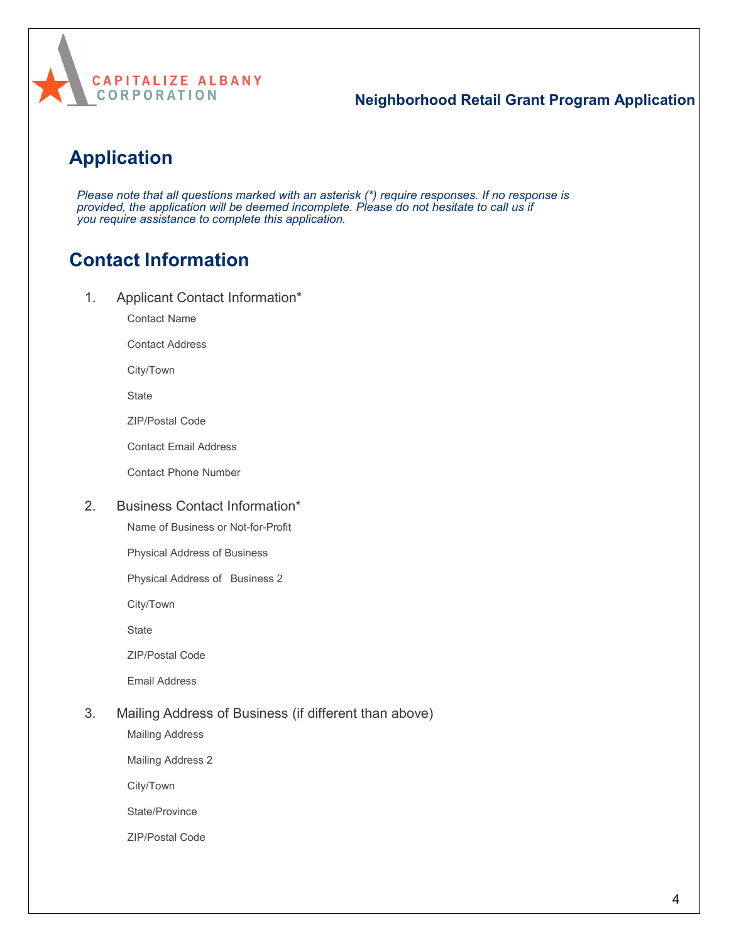

# **Application**

*Please note that all questions marked with an asterisk (\*) require responses. If no response is provided, the application will be deemed incomplete. Please do not hesitate to call us if you require assistance to complete this application.*

# **Contact Information**

1. Applicant Contact Information\*

Contact Name

Contact Address

City/Town

**State** 

ZIP/Postal Code

Contact Email Address

Contact Phone Number

#### 2. Business Contact Information\*

Name of Business or Not-for-Profit

Physical Address of Business

Physical Address of Business 2

City/Town

**State** 

ZIP/Postal Code

Email Address

#### 3. Mailing Address of Business (if different than above)

Mailing Address

Mailing Address 2

City/Town

State/Province

ZIP/Postal Code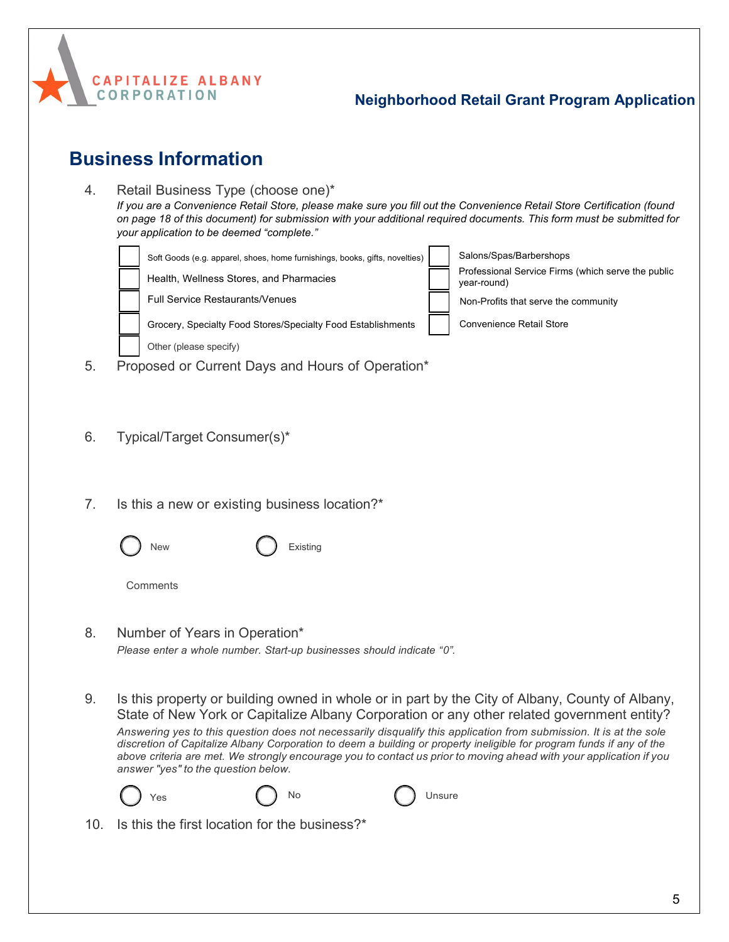

# **Business Information**

| 4.  | Retail Business Type (choose one)*<br>If you are a Convenience Retail Store, please make sure you fill out the Convenience Retail Store Certification (found<br>on page 18 of this document) for submission with your additional required documents. This form must be submitted for<br>your application to be deemed "complete."                                                                                                                                                                                                                                                                                                |
|-----|----------------------------------------------------------------------------------------------------------------------------------------------------------------------------------------------------------------------------------------------------------------------------------------------------------------------------------------------------------------------------------------------------------------------------------------------------------------------------------------------------------------------------------------------------------------------------------------------------------------------------------|
| 5.  | Salons/Spas/Barbershops<br>Soft Goods (e.g. apparel, shoes, home furnishings, books, gifts, novelties)<br>Professional Service Firms (which serve the public<br>Health, Wellness Stores, and Pharmacies<br>year-round)<br>Full Service Restaurants/Venues<br>Non-Profits that serve the community<br>Grocery, Specialty Food Stores/Specialty Food Establishments<br><b>Convenience Retail Store</b><br>Other (please specify)<br>Proposed or Current Days and Hours of Operation*                                                                                                                                               |
| 6.  | Typical/Target Consumer(s)*                                                                                                                                                                                                                                                                                                                                                                                                                                                                                                                                                                                                      |
| 7.  | Is this a new or existing business location?*<br>Existing<br>New<br>Comments                                                                                                                                                                                                                                                                                                                                                                                                                                                                                                                                                     |
| 8.  | Number of Years in Operation*<br>Please enter a whole number. Start-up businesses should indicate "0".                                                                                                                                                                                                                                                                                                                                                                                                                                                                                                                           |
| 9.  | Is this property or building owned in whole or in part by the City of Albany, County of Albany,<br>State of New York or Capitalize Albany Corporation or any other related government entity?<br>Answering yes to this question does not necessarily disqualify this application from submission. It is at the sole<br>discretion of Capitalize Albany Corporation to deem a building or property ineligible for program funds if any of the<br>above criteria are met. We strongly encourage you to contact us prior to moving ahead with your application if you<br>answer "yes" to the question below.<br>No<br>Unsure<br>Yes |
| 10. | Is this the first location for the business?*                                                                                                                                                                                                                                                                                                                                                                                                                                                                                                                                                                                    |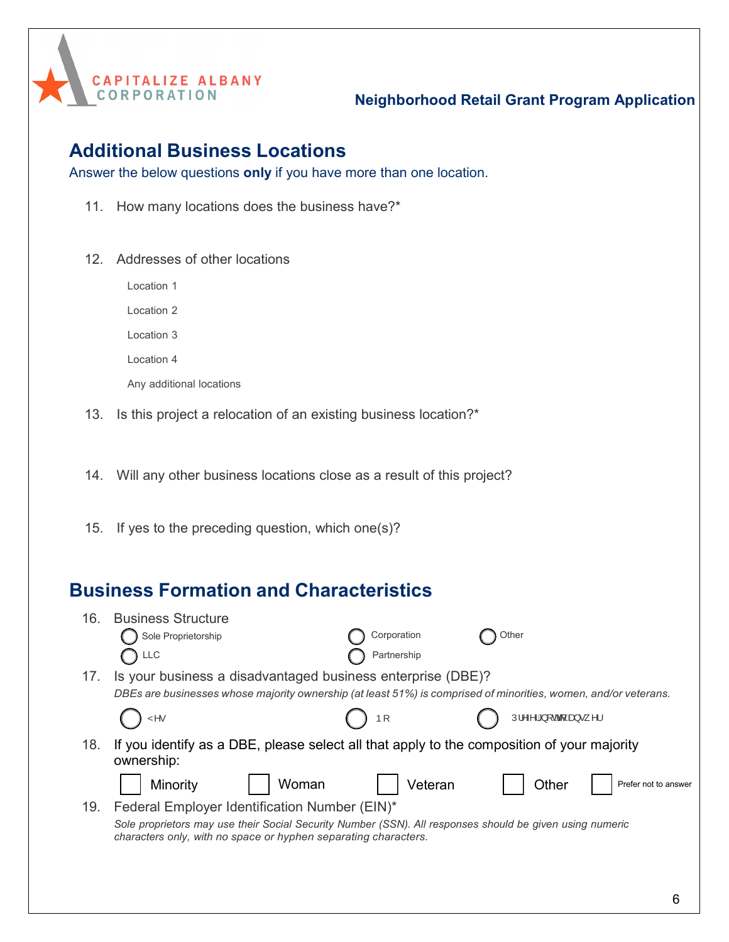

## **Additional Business Locations**

Answer the below questions **only** if you have more than one location.

- 11. How many locations does the business have?\*
- 12. Addresses of other locations

Location 1 Location 2

Location 3

Location 4

Any additional locations

13. Is this project a relocation of an existing business location?\*

14. Will any other business locations close as a result of this project?

15. If yes to the preceding question, which one(s)?

## **Business Formation and Characteristics**

| 16. | <b>Business Structure</b>                                                                                                                                                   |             |                                                                                                                                                                                                                                                                                                                                                |                      |
|-----|-----------------------------------------------------------------------------------------------------------------------------------------------------------------------------|-------------|------------------------------------------------------------------------------------------------------------------------------------------------------------------------------------------------------------------------------------------------------------------------------------------------------------------------------------------------|----------------------|
|     | Sole Proprietorship                                                                                                                                                         | Corporation | Other                                                                                                                                                                                                                                                                                                                                          |                      |
|     | <b>LLC</b>                                                                                                                                                                  | Partnership |                                                                                                                                                                                                                                                                                                                                                |                      |
| 17. | Is your business a disadvantaged business enterprise (DBE)?                                                                                                                 |             |                                                                                                                                                                                                                                                                                                                                                |                      |
|     | DBEs are businesses whose majority ownership (at least 51%) is comprised of minorities, women, and/or veterans.                                                             |             |                                                                                                                                                                                                                                                                                                                                                |                      |
|     | ۷۸۰                                                                                                                                                                         | ÞI          | $U_1 \wedge \wedge$ $\wedge$ $\wedge$ $\wedge$ $\wedge$ $\wedge$ $\wedge$ $\wedge$ $\wedge$ $\wedge$ $\wedge$ $\wedge$ $\wedge$ $\wedge$ $\wedge$ $\wedge$ $\wedge$ $\wedge$ $\wedge$ $\wedge$ $\wedge$ $\wedge$ $\wedge$ $\wedge$ $\wedge$ $\wedge$ $\wedge$ $\wedge$ $\wedge$ $\wedge$ $\wedge$ $\wedge$ $\wedge$ $\wedge$ $\wedge$ $\wedge$ |                      |
| 18. | If you identify as a DBE, please select all that apply to the composition of your majority<br>ownership:                                                                    |             |                                                                                                                                                                                                                                                                                                                                                |                      |
|     | Woman<br>Minority                                                                                                                                                           | Veteran     | Other                                                                                                                                                                                                                                                                                                                                          | Prefer not to answer |
| 19. | Federal Employer Identification Number (EIN)*                                                                                                                               |             |                                                                                                                                                                                                                                                                                                                                                |                      |
|     | Sole proprietors may use their Social Security Number (SSN). All responses should be given using numeric<br>characters only, with no space or hyphen separating characters. |             |                                                                                                                                                                                                                                                                                                                                                |                      |
|     |                                                                                                                                                                             |             |                                                                                                                                                                                                                                                                                                                                                |                      |
|     |                                                                                                                                                                             |             |                                                                                                                                                                                                                                                                                                                                                |                      |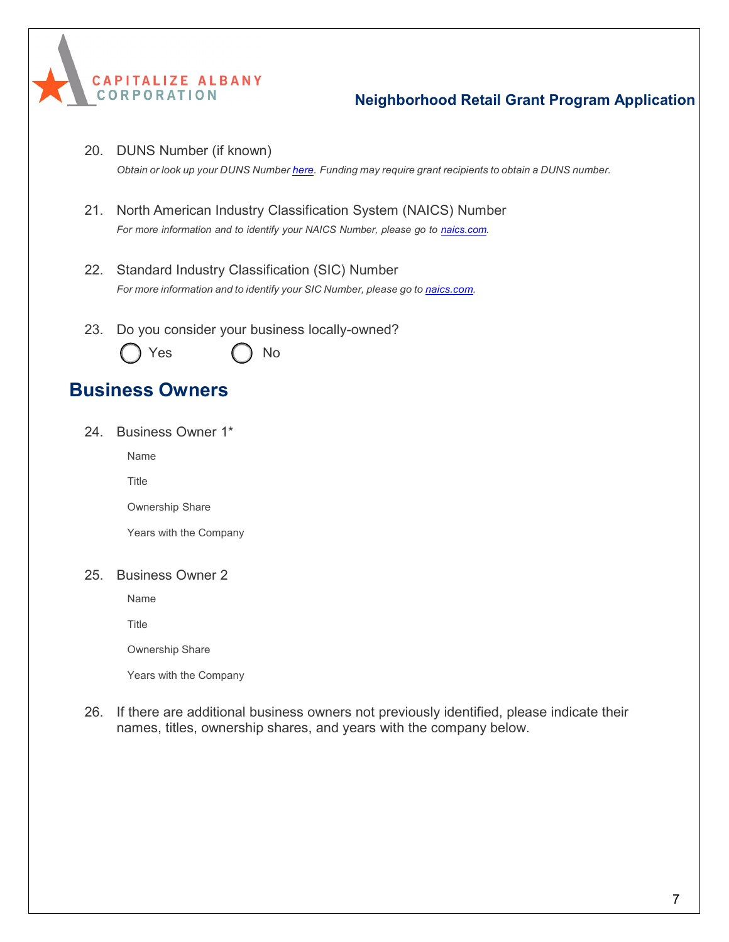

20. DUNS Number (if known)

*Obtain or look up your DUNS Number [here.](https://www.dnb.com/duns-number.html) Funding may require grant recipients to obtain a DUNS number.*

- 21. North American Industry Classification System (NAICS) Number *For more information and to identify your NAICS Number, please go to [naics.com.](https://www.naics.com/search/)*
- 22. Standard Industry Classification (SIC) Number *For more information and to identify your SIC Number, please go to [naics.com.](https://www.naics.com/search/)*
- 23. Do you consider your business locally-owned?



## **Business Owners**

24. Business Owner 1\*

Name

**Title** 

Ownership Share

Years with the Company

#### 25. Business Owner 2

Name

**Title** 

Ownership Share

Years with the Company

26. If there are additional business owners not previously identified, please indicate their names, titles, ownership shares, and years with the company below.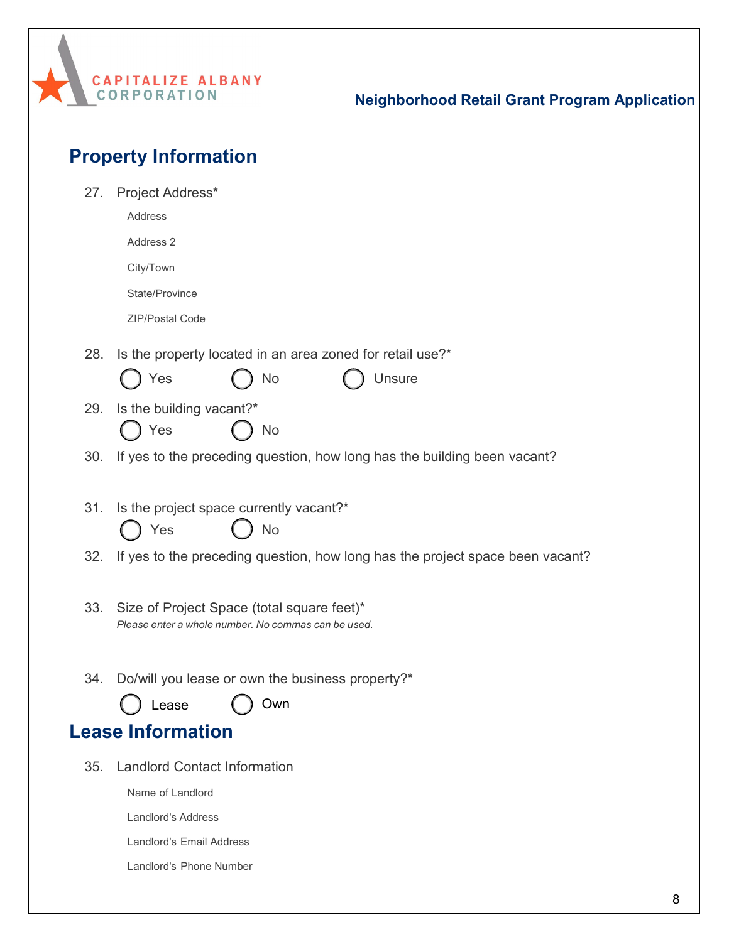

| 27. | Project Address*                                                                                  |
|-----|---------------------------------------------------------------------------------------------------|
|     | Address                                                                                           |
|     | Address 2                                                                                         |
|     | City/Town                                                                                         |
|     | State/Province                                                                                    |
|     | ZIP/Postal Code                                                                                   |
|     |                                                                                                   |
| 28. | Is the property located in an area zoned for retail use?*                                         |
|     | Yes<br><b>Unsure</b><br>No                                                                        |
| 29. | Is the building vacant?*                                                                          |
|     | Yes<br>No                                                                                         |
| 30. | If yes to the preceding question, how long has the building been vacant?                          |
|     |                                                                                                   |
| 31. | Is the project space currently vacant?*                                                           |
|     | Yes<br>No                                                                                         |
| 32. | If yes to the preceding question, how long has the project space been vacant?                     |
|     |                                                                                                   |
| 33. | Size of Project Space (total square feet)*<br>Please enter a whole number. No commas can be used. |
|     |                                                                                                   |
|     |                                                                                                   |
| 34. | Do/will you lease or own the business property?*                                                  |
|     | Lease<br>Own                                                                                      |
|     | <b>Lease Information</b>                                                                          |
| 35. | <b>Landlord Contact Information</b>                                                               |
|     | Name of Landlord                                                                                  |
|     | <b>Landlord's Address</b>                                                                         |
|     | <b>Landlord's Email Address</b>                                                                   |
|     | Landlord's Phone Number                                                                           |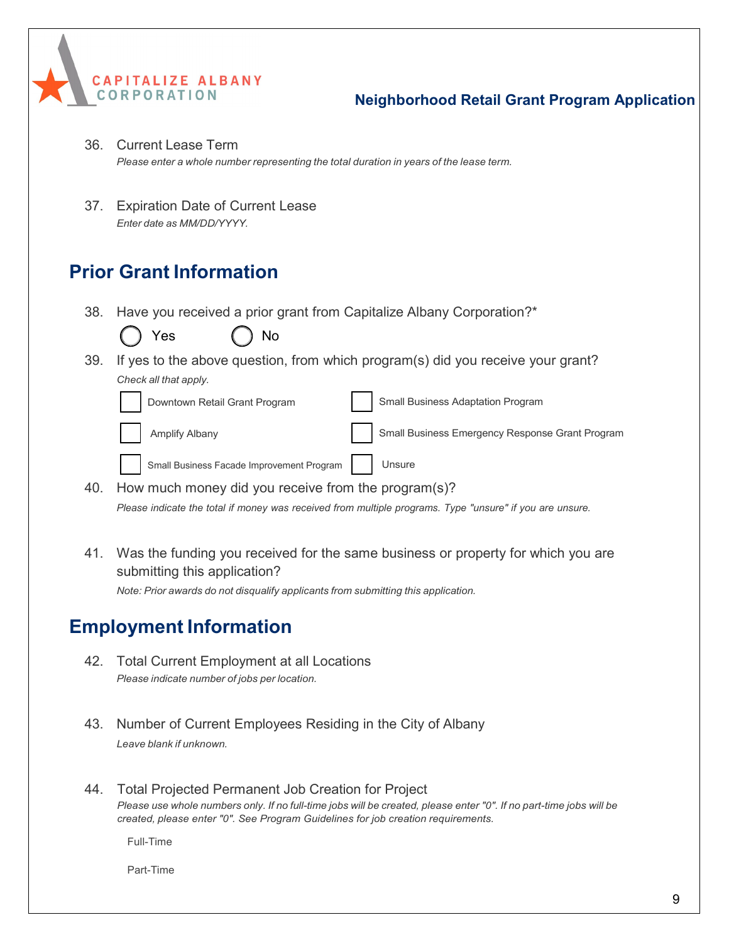- 36. Current Lease Term *Please enter a whole number representing the total duration in years of the lease term.*
- 37. Expiration Date of Current Lease *Enter date as MM/DD/YYYY.*

## **Prior Grant Information**

**CAPITALIZE ALBANY** 

**CORPORATION** 

38. Have you received a prior grant from Capitalize Albany Corporation?\*

|     | Yes<br>No                                           |                                                                                                          |
|-----|-----------------------------------------------------|----------------------------------------------------------------------------------------------------------|
| 39. |                                                     | If yes to the above question, from which program(s) did you receive your grant?                          |
|     | Check all that apply.                               |                                                                                                          |
|     | Downtown Retail Grant Program                       | Small Business Adaptation Program                                                                        |
|     | Amplify Albany                                      | Small Business Emergency Response Grant Program                                                          |
|     | Small Business Facade Improvement Program           | Unsure                                                                                                   |
| 40. | How much money did you receive from the program(s)? |                                                                                                          |
|     |                                                     | Please indicate the total if money was received from multiple programs. Type "unsure" if you are unsure. |

41. Was the funding you received for the same business or property for which you are submitting this application? *Note: Prior awards do not disqualify applicants from submitting this application.*

## **Employment Information**

- 42. Total Current Employment at all Locations *Please indicate number of jobs per location.*
- 43. Number of Current Employees Residing in the City of Albany *Leave blank if unknown.*
- 44. Total Projected Permanent Job Creation for Project Please use whole numbers only. If no full-time jobs will be created, please enter "0". If no part-time jobs will be *created, please enter "0". See Program Guidelines for job creation requirements.*

Full-Time

Part-Time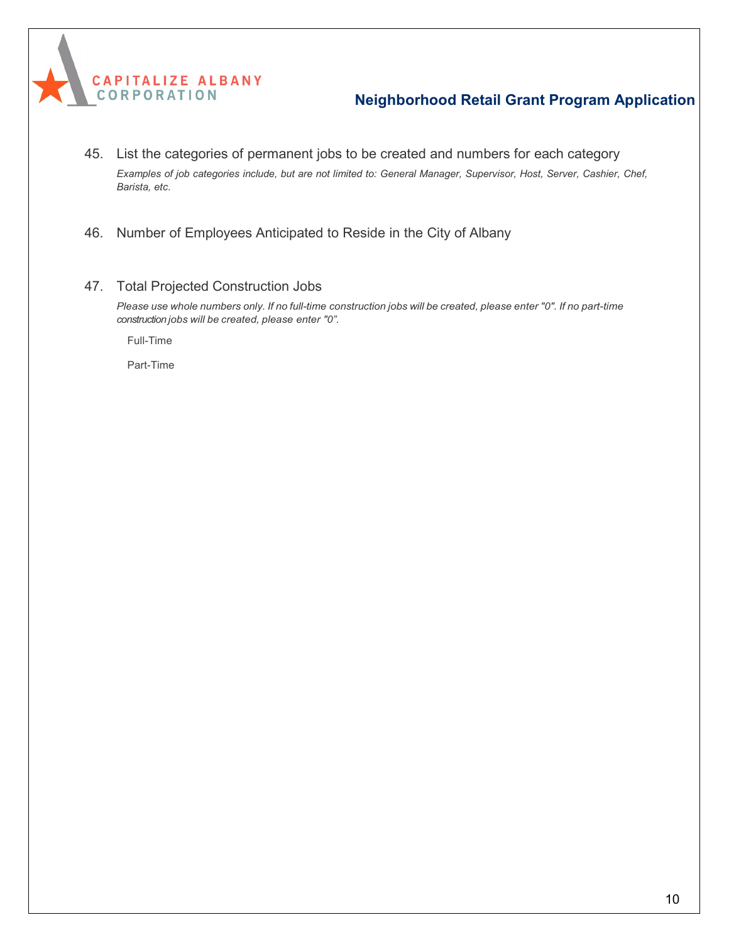

- 45. List the categories of permanent jobs to be created and numbers for each category Examples of job categories include, but are not limited to: General Manager, Supervisor, Host, Server, Cashier, Chef, *Barista, etc.*
- 46. Number of Employees Anticipated to Reside in the City of Albany
- 47. Total Projected Construction Jobs

Please use whole numbers only. If no full-time construction jobs will be created, please enter "0". If no part-time *construction jobs will be created, please enter "0".*

Full-Time

Part-Time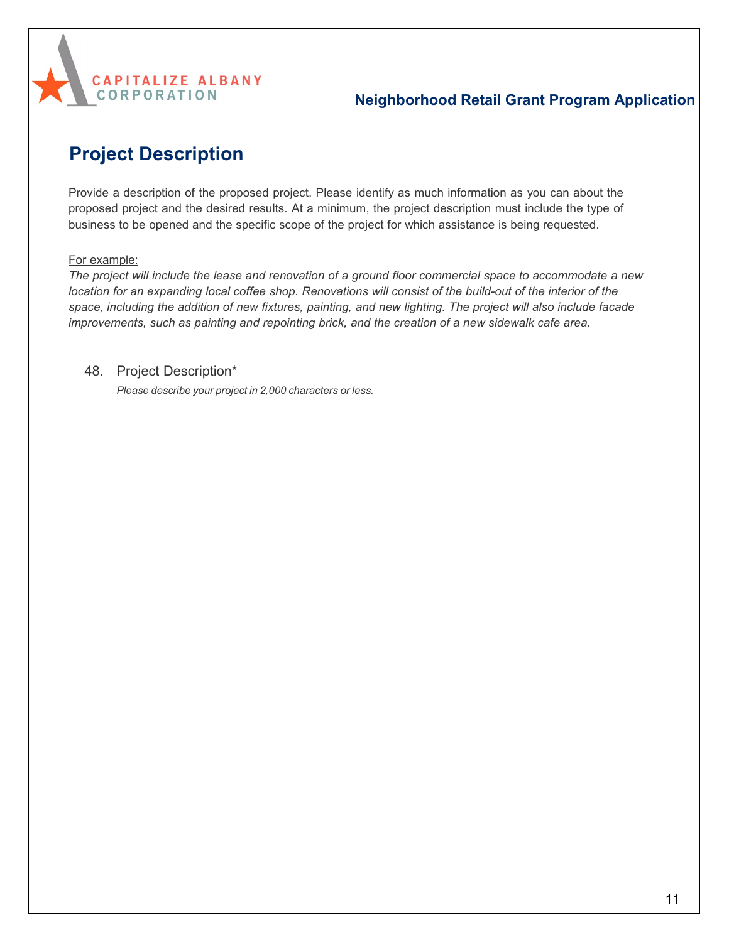

# **Project Description**

Provide a description of the proposed project. Please identify as much information as you can about the proposed project and the desired results. At a minimum, the project description must include the type of business to be opened and the specific scope of the project for which assistance is being requested.

#### For example:

*The project will include the lease and renovation of a ground floor commercial space to accommodate a new* location for an expanding local coffee shop. Renovations will consist of the build-out of the interior of the space, including the addition of new fixtures, painting, and new lighting. The project will also include facade *improvements, such as painting and repointing brick, and the creation of a new sidewalk cafe area.*

#### 48. Project Description\*

*Please describe your project in 2,000 characters or less.*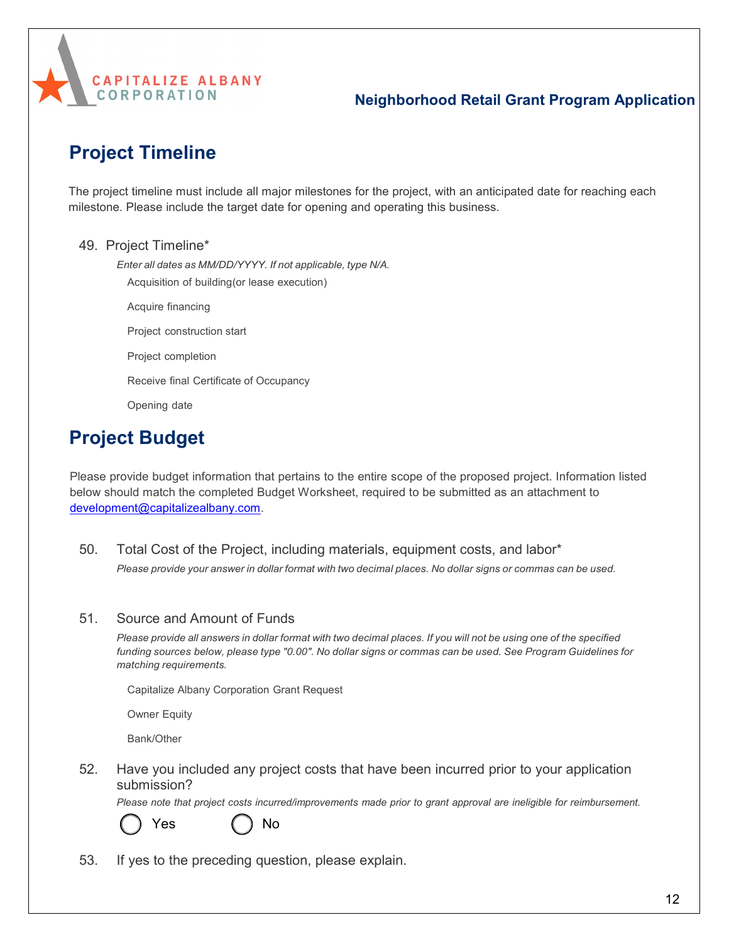

# **Project Timeline**

The project timeline must include all major milestones for the project, with an anticipated date for reaching each milestone. Please include the target date for opening and operating this business.

#### 49. Project Timeline\*

*Enter all dates as MM/DD/YYYY. If not applicable, type N/A.*

Acquisition of building (or lease execution)

Acquire financing

Project construction start

Project completion

Receive final Certificate of Occupancy

Opening date

# **Project Budget**

Please provide budget information that pertains to the entire scope of the proposed project. Information listed below should match the completed Budget Worksheet, required to be submitted as an attachment to [development@capitalizealbany.com.](mailto:development@capitalizealbany.com)

50. Total Cost of the Project, including materials, equipment costs, and labor\* Please provide your answer in dollar format with two decimal places. No dollar signs or commas can be used.

#### 51. Source and Amount of Funds

Please provide all answers in dollar format with two decimal places. If you will not be using one of the specified funding sources below, please type "0.00". No dollar signs or commas can be used. See Program Guidelines for *matching requirements.*

Capitalize Albany Corporation Grant Request

Owner Equity

Bank/Other

52. Have you included any project costs that have been incurred prior to your application submission?

*Please note that project costs incurred/improvements made prior to grant approval are ineligible for reimbursement.*



Yes ( ) No

53. If yes to the preceding question, please explain.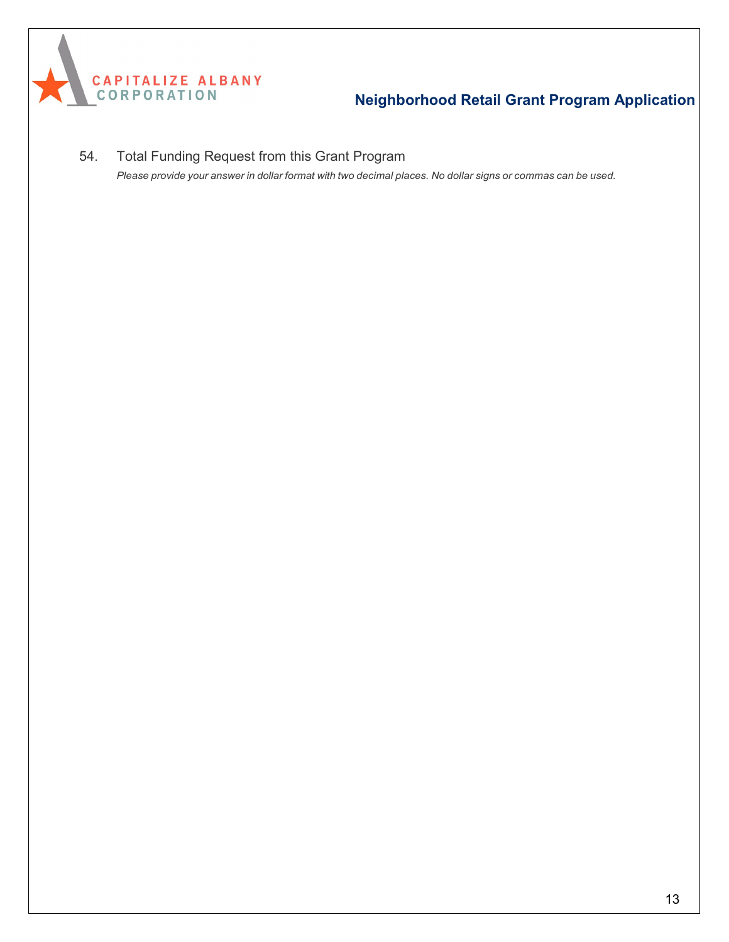

54. Total Funding Request from this Grant Program Please provide your answer in dollar format with two decimal places. No dollar signs or commas can be used.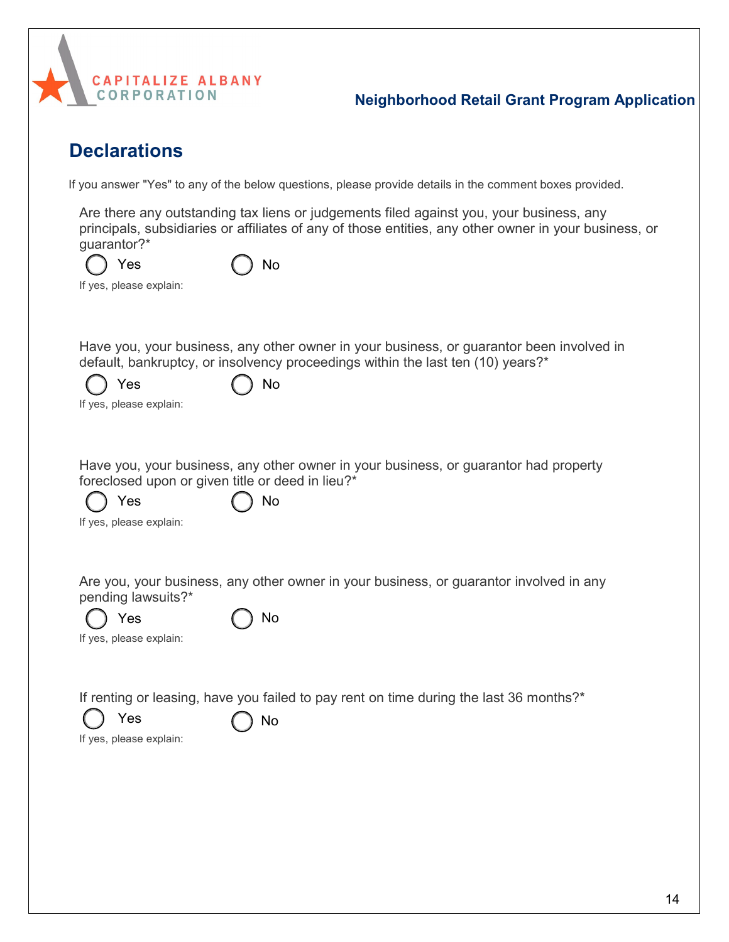

# **Declarations**

If you answer "Yes" to any of the below questions, please provide details in the comment boxes provided.

Are there any outstanding tax liens or judgements filed against you, your business, any principals, subsidiaries or affiliates of any of those entities, any other owner in your business, or guarantor?\*

| $()$ Yes                | $\bigcap$ No |
|-------------------------|--------------|
| If yes, please explain: |              |

Have you, your business, any other owner in your business, or guarantor been involved in default, bankruptcy, or insolvency proceedings within the last ten (10) years?\*

| $\bigcirc$ Yes | $()$ No |
|----------------|---------|
|                |         |

If yes, please explain:

Have you, your business, any other owner in your business, or guarantor had property foreclosed upon or given title or deed in lieu?\*

Yes ( ) No

|  |  | If yes, please explain: |  |  |
|--|--|-------------------------|--|--|
|--|--|-------------------------|--|--|

Are you, your business, any other owner in your business, or guarantor involved in any pending lawsuits?\*

| Yes                     | $\bigcap$ No |
|-------------------------|--------------|
| If yes, please explain: |              |

If renting or leasing, have you failed to pay rent on time during the last 36 months?\*



Yes  $\bigcap$  No

If yes, please explain: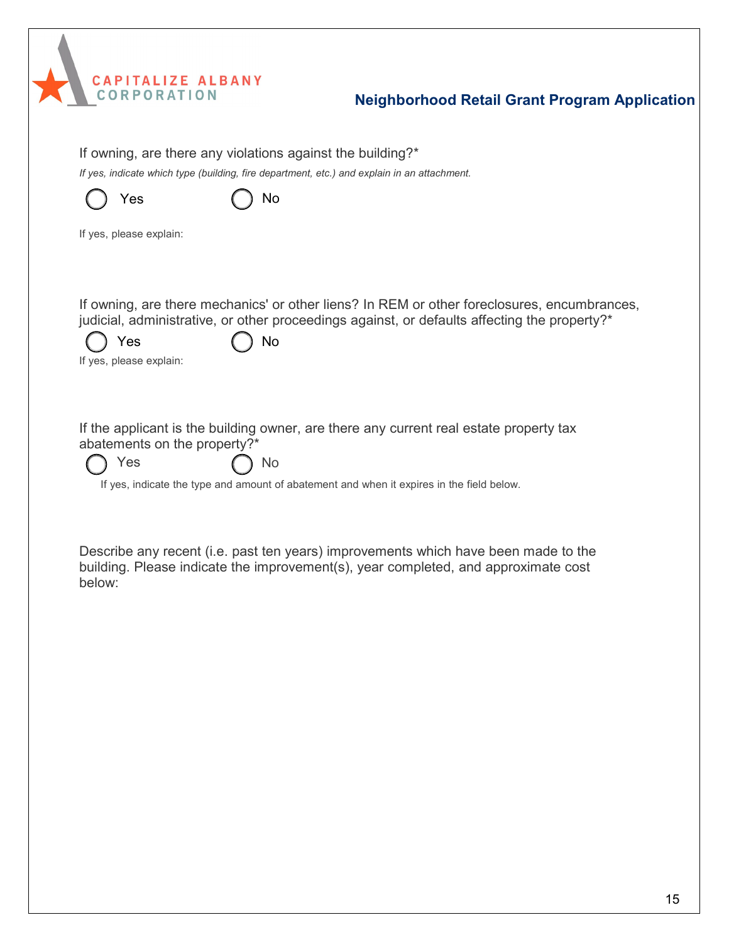

| If owning, are there any violations against the building?*<br>If yes, indicate which type (building, fire department, etc.) and explain in an attachment.                                                                           |  |  |
|-------------------------------------------------------------------------------------------------------------------------------------------------------------------------------------------------------------------------------------|--|--|
| Yes<br>No                                                                                                                                                                                                                           |  |  |
| If yes, please explain:                                                                                                                                                                                                             |  |  |
| If owning, are there mechanics' or other liens? In REM or other foreclosures, encumbrances,<br>judicial, administrative, or other proceedings against, or defaults affecting the property?*<br>No<br>Yes<br>If yes, please explain: |  |  |
| If the applicant is the building owner, are there any current real estate property tax<br>abatements on the property?*<br>Yes<br>No<br>If yes, indicate the type and amount of abatement and when it expires in the field below.    |  |  |
| Describe any recent (i.e. past ten years) improvements which have been made to the<br>building. Please indicate the improvement(s), year completed, and approximate cost<br>below:                                                  |  |  |
|                                                                                                                                                                                                                                     |  |  |
|                                                                                                                                                                                                                                     |  |  |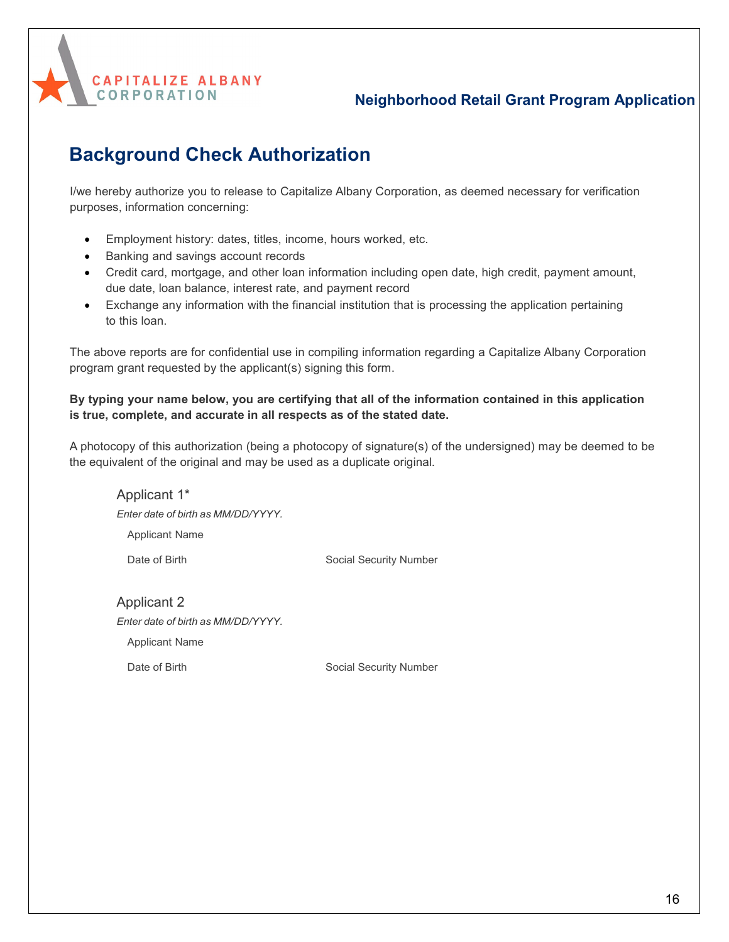

# **Background Check Authorization**

I/we hereby authorize you to release to Capitalize Albany Corporation, as deemed necessary for verification purposes, information concerning:

- Employment history: dates, titles, income, hours worked, etc.
- Banking and savings account records
- Credit card, mortgage, and other loan information including open date, high credit, payment amount, due date, loan balance, interest rate, and payment record
- Exchange any information with the financial institution that is processing the application pertaining to this loan.

The above reports are for confidential use in compiling information regarding a Capitalize Albany Corporation program grant requested by the applicant(s) signing this form.

#### **By typing your name below, you are certifying that all of the information contained in this application is true, complete, and accurate in all respects as of the stated date.**

A photocopy of this authorization (being a photocopy of signature(s) of the undersigned) may be deemed to be the equivalent of the original and may be used as a duplicate original.

Applicant 1\* *Enter date of birth as MM/DD/YYYY.* Applicant Name Date of Birth Social Security Number

Applicant 2 *Enter date of birth as MM/DD/YYYY.* Applicant Name

Date of Birth Social Security Number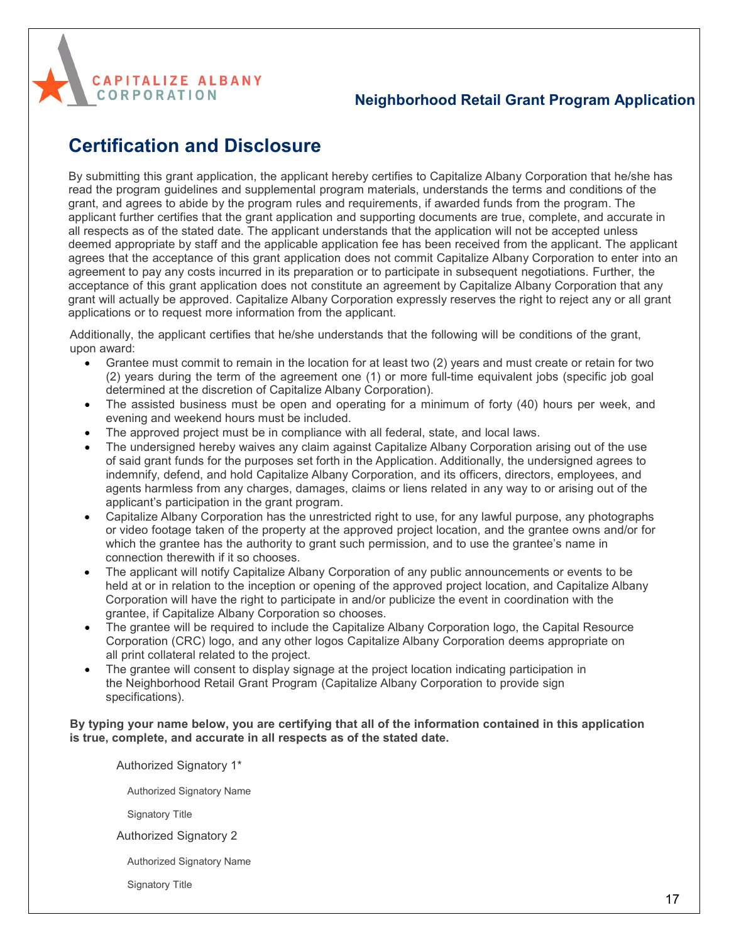

## **Certification and Disclosure**

By submitting this grant application, the applicant hereby certifies to Capitalize Albany Corporation that he/she has read the program guidelines and supplemental program materials, understands the terms and conditions of the grant, and agrees to abide by the program rules and requirements, if awarded funds from the program. The applicant further certifies that the grant application and supporting documents are true, complete, and accurate in all respects as of the stated date. The applicant understands that the application will not be accepted unless deemed appropriate by staff and the applicable application fee has been received from the applicant. The applicant agrees that the acceptance of this grant application does not commit Capitalize Albany Corporation to enter into an agreement to pay any costs incurred in its preparation or to participate in subsequent negotiations. Further, the acceptance of this grant application does not constitute an agreement by Capitalize Albany Corporation that any grant will actually be approved. Capitalize Albany Corporation expressly reserves the right to reject any or all grant applications or to request more information from the applicant.

Additionally, the applicant certifies that he/she understands that the following will be conditions of the grant, upon award:

- Grantee must commit to remain in the location for at least two (2) years and must create or retain for two (2) years during the term of the agreement one (1) or more full-time equivalent jobs (specific job goal determined at the discretion of Capitalize Albany Corporation).
- The assisted business must be open and operating for a minimum of forty (40) hours per week, and evening and weekend hours must be included.
- The approved project must be in compliance with all federal, state, and local laws.
- The undersigned hereby waives any claim against Capitalize Albany Corporation arising out of the use of said grant funds for the purposes set forth in the Application. Additionally, the undersigned agrees to indemnify, defend, and hold Capitalize Albany Corporation, and its officers, directors, employees, and agents harmless from any charges, damages, claims or liens related in any way to or arising out of the applicant's participation in the grant program.
- Capitalize Albany Corporation has the unrestricted right to use, for any lawful purpose, any photographs or video footage taken of the property at the approved project location, and the grantee owns and/or for which the grantee has the authority to grant such permission, and to use the grantee's name in connection therewith if it so chooses.
- The applicant will notify Capitalize Albany Corporation of any public announcements or events to be held at or in relation to the inception or opening of the approved project location, and Capitalize Albany Corporation will have the right to participate in and/or publicize the event in coordination with the grantee, if Capitalize Albany Corporation so chooses.
- The grantee will be required to include the Capitalize Albany Corporation logo, the Capital Resource Corporation (CRC) logo, and any other logos Capitalize Albany Corporation deems appropriate on all print collateral related to the project.
- The grantee will consent to display signage at the project location indicating participation in the Neighborhood Retail Grant Program (Capitalize Albany Corporation to provide sign specifications).

#### **By typing your name below, you are certifying that all of the information contained in this application is true, complete, and accurate in all respects as of the stated date.**

Authorized Signatory 1\*

Authorized Signatory Name

Signatory Title

Authorized Signatory 2

Authorized Signatory Name

Signatory Title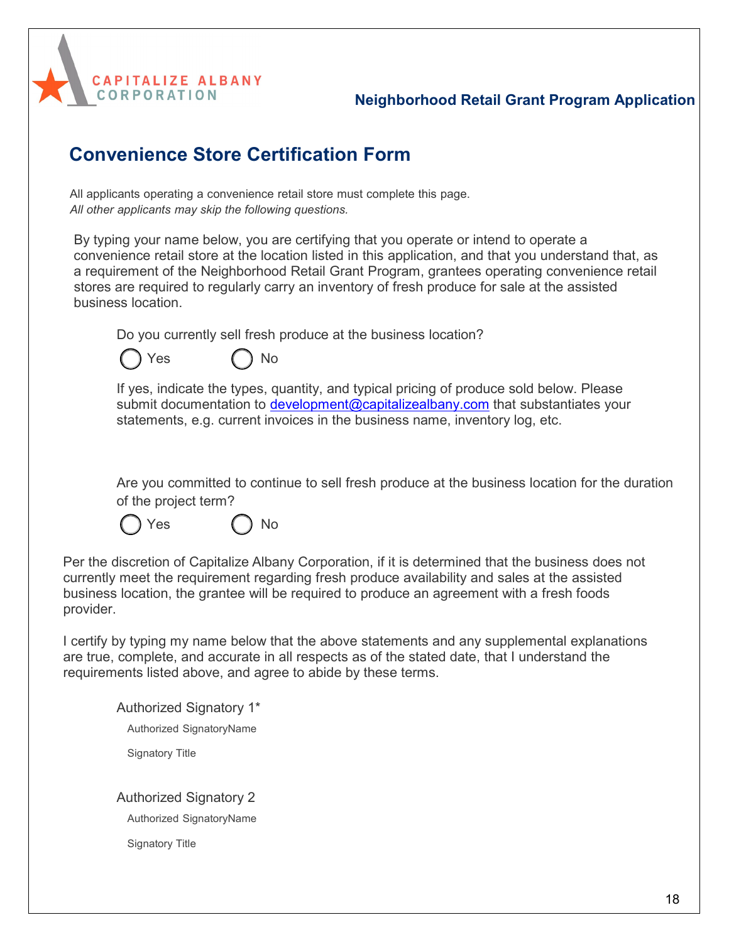

## **Convenience Store Certification Form**

All applicants operating a convenience retail store must complete this page. *All other applicants may skip the following questions.*

By typing your name below, you are certifying that you operate or intend to operate a convenience retail store at the location listed in this application, and that you understand that, as a requirement of the Neighborhood Retail Grant Program, grantees operating convenience retail stores are required to regularly carry an inventory of fresh produce for sale at the assisted business location.

Do you currently sell fresh produce at the business location?



If yes, indicate the types, quantity, and typical pricing of produce sold below. Please submit documentation to [development@capitalizealbany.com](mailto:development@capitalizealbany.com) that substantiates your statements, e.g. current invoices in the business name, inventory log, etc.

Are you committed to continue to sell fresh produce at the business location for the duration of the project term?

Yes ( ) No

Per the discretion of Capitalize Albany Corporation, if it is determined that the business does not currently meet the requirement regarding fresh produce availability and sales at the assisted business location, the grantee will be required to produce an agreement with a fresh foods provider.

I certify by typing my name below that the above statements and any supplemental explanations are true, complete, and accurate in all respects as of the stated date, that I understand the requirements listed above, and agree to abide by these terms.

Authorized Signatory 1\* Authorized SignatoryName Signatory Title Authorized Signatory 2

Authorized SignatoryName

Signatory Title